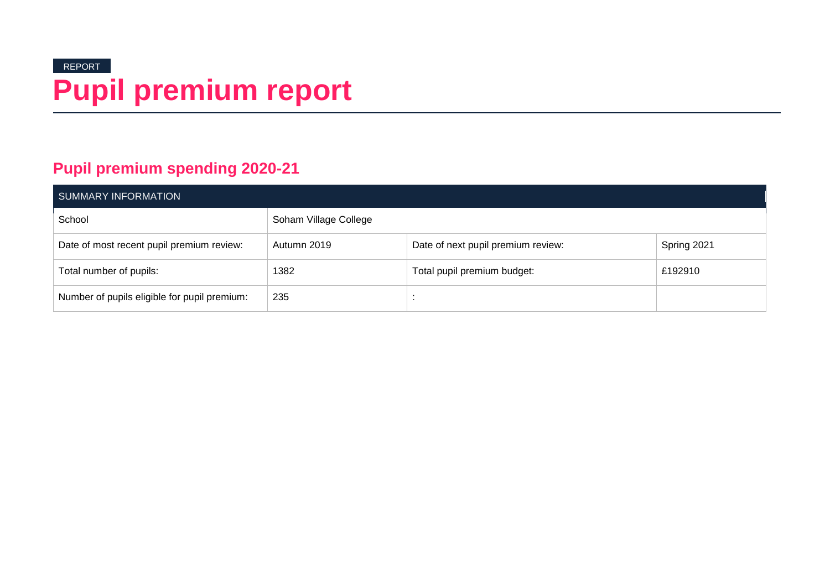# REPORT **Pupil premium report**

### **Pupil premium spending 2020-21**

| SUMMARY INFORMATION                          |                       |                                    |             |  |  |
|----------------------------------------------|-----------------------|------------------------------------|-------------|--|--|
| School                                       | Soham Village College |                                    |             |  |  |
| Date of most recent pupil premium review:    | Autumn 2019           | Date of next pupil premium review: | Spring 2021 |  |  |
| Total number of pupils:                      | 1382                  | Total pupil premium budget:        | £192910     |  |  |
| Number of pupils eligible for pupil premium: | 235                   |                                    |             |  |  |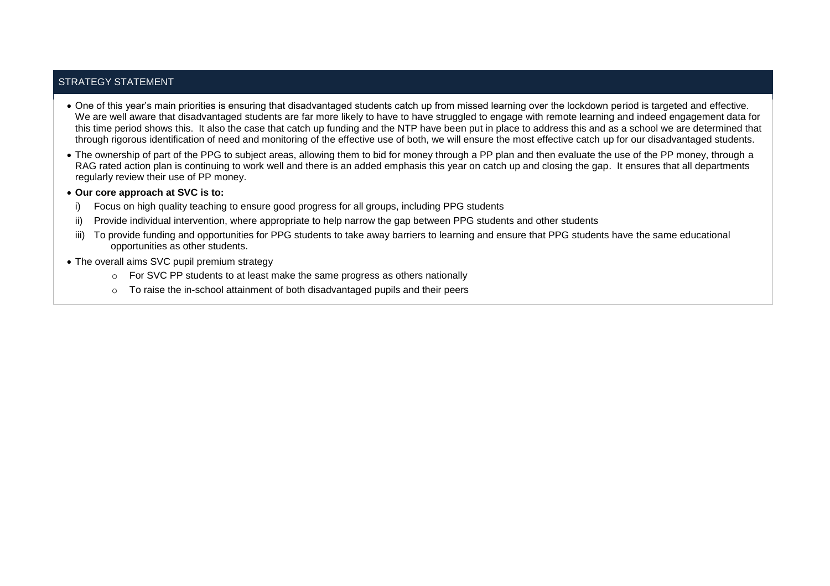### STRATEGY STATEMENT

- One of this year's main priorities is ensuring that disadvantaged students catch up from missed learning over the lockdown period is targeted and effective. We are well aware that disadvantaged students are far more likely to have to have struggled to engage with remote learning and indeed engagement data for this time period shows this. It also the case that catch up funding and the NTP have been put in place to address this and as a school we are determined that through rigorous identification of need and monitoring of the effective use of both, we will ensure the most effective catch up for our disadvantaged students.
- The ownership of part of the PPG to subject areas, allowing them to bid for money through a PP plan and then evaluate the use of the PP money, through a RAG rated action plan is continuing to work well and there is an added emphasis this year on catch up and closing the gap. It ensures that all departments regularly review their use of PP money.
- **Our core approach at SVC is to:**
	- Focus on high quality teaching to ensure good progress for all groups, including PPG students
	- ii) Provide individual intervention, where appropriate to help narrow the gap between PPG students and other students
- iii) To provide funding and opportunities for PPG students to take away barriers to learning and ensure that PPG students have the same educational opportunities as other students.
- The overall aims SVC pupil premium strategy
	- o For SVC PP students to at least make the same progress as others nationally
	- $\circ$  To raise the in-school attainment of both disadvantaged pupils and their peers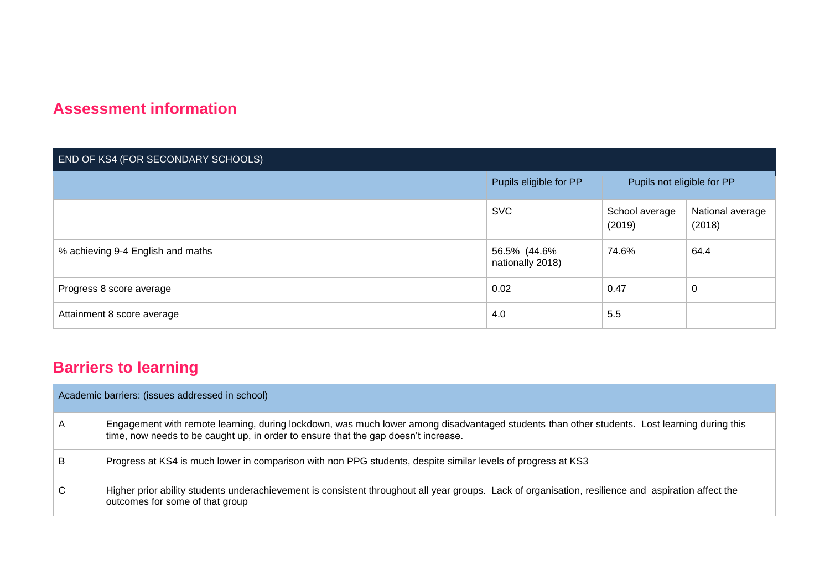### **Assessment information**

| END OF KS4 (FOR SECONDARY SCHOOLS) |                                  |                            |                            |  |
|------------------------------------|----------------------------------|----------------------------|----------------------------|--|
|                                    | Pupils eligible for PP           | Pupils not eligible for PP |                            |  |
|                                    | <b>SVC</b>                       | School average<br>(2019)   | National average<br>(2018) |  |
| % achieving 9-4 English and maths  | 56.5% (44.6%<br>nationally 2018) | 74.6%                      | 64.4                       |  |
| Progress 8 score average           | 0.02                             | 0.47                       | 0                          |  |
| Attainment 8 score average         | 4.0                              | 5.5                        |                            |  |

## **Barriers to learning**

|   | Academic barriers: (issues addressed in school)                                                                                                                                                                                    |
|---|------------------------------------------------------------------------------------------------------------------------------------------------------------------------------------------------------------------------------------|
| A | Engagement with remote learning, during lockdown, was much lower among disadvantaged students than other students. Lost learning during this<br>time, now needs to be caught up, in order to ensure that the gap doesn't increase. |
| B | Progress at KS4 is much lower in comparison with non PPG students, despite similar levels of progress at KS3                                                                                                                       |
| C | Higher prior ability students underachievement is consistent throughout all year groups. Lack of organisation, resilience and aspiration affect the<br>outcomes for some of that group                                             |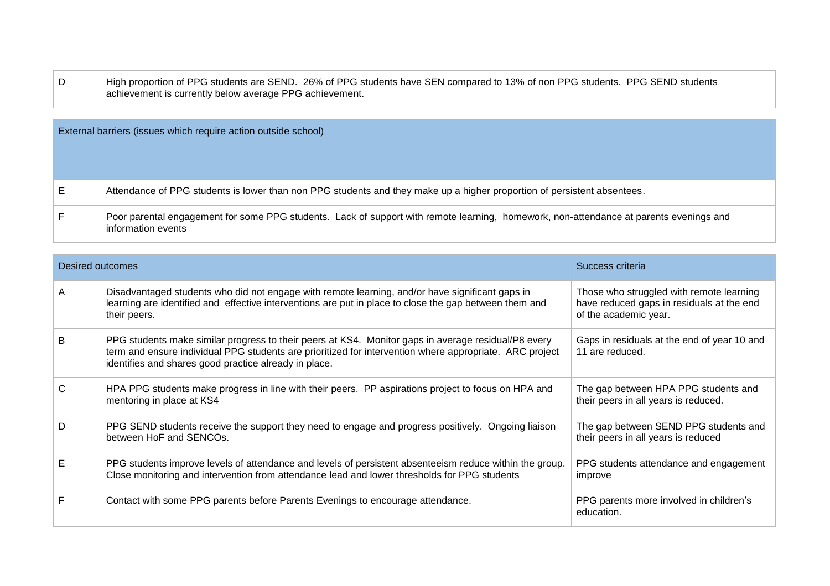| High proportion of PPG students are SEND. 26% of PPG students have SEN compared to 13% of non PPG students. PPG SEND students |
|-------------------------------------------------------------------------------------------------------------------------------|
| achievement is currently below average PPG achievement.                                                                       |

| External barriers (issues which require action outside school)                                                                                               |
|--------------------------------------------------------------------------------------------------------------------------------------------------------------|
| Attendance of PPG students is lower than non PPG students and they make up a higher proportion of persistent absentees.                                      |
| Poor parental engagement for some PPG students. Lack of support with remote learning, homework, non-attendance at parents evenings and<br>information events |

| Desired outcomes |                                                                                                                                                                                                                                                                         | Success criteria                                                                                               |
|------------------|-------------------------------------------------------------------------------------------------------------------------------------------------------------------------------------------------------------------------------------------------------------------------|----------------------------------------------------------------------------------------------------------------|
| A                | Disadvantaged students who did not engage with remote learning, and/or have significant gaps in<br>learning are identified and effective interventions are put in place to close the gap between them and<br>their peers.                                               | Those who struggled with remote learning<br>have reduced gaps in residuals at the end<br>of the academic year. |
| B                | PPG students make similar progress to their peers at KS4. Monitor gaps in average residual/P8 every<br>term and ensure individual PPG students are prioritized for intervention where appropriate. ARC project<br>identifies and shares good practice already in place. | Gaps in residuals at the end of year 10 and<br>11 are reduced.                                                 |
| C                | HPA PPG students make progress in line with their peers. PP aspirations project to focus on HPA and<br>mentoring in place at KS4                                                                                                                                        | The gap between HPA PPG students and<br>their peers in all years is reduced.                                   |
| D                | PPG SEND students receive the support they need to engage and progress positively. Ongoing liaison<br>between HoF and SENCOs.                                                                                                                                           | The gap between SEND PPG students and<br>their peers in all years is reduced                                   |
| Е                | PPG students improve levels of attendance and levels of persistent absenteeism reduce within the group.<br>Close monitoring and intervention from attendance lead and lower thresholds for PPG students                                                                 | PPG students attendance and engagement<br>improve                                                              |
|                  | Contact with some PPG parents before Parents Evenings to encourage attendance.                                                                                                                                                                                          | PPG parents more involved in children's<br>education.                                                          |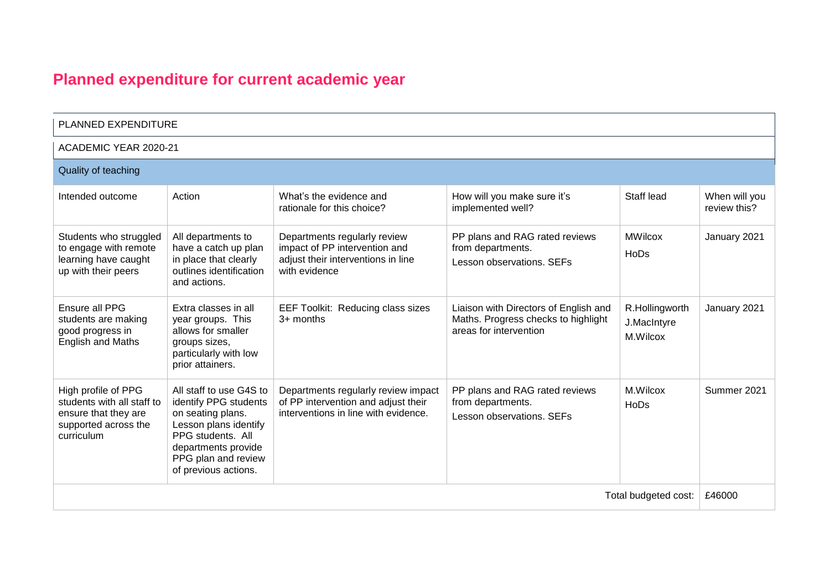# **Planned expenditure for current academic year**

| PLANNED EXPENDITURE                                                                                             |                                                                                                                                                                                           |                                                                                                                      |                                                                                                        |                                           |                               |  |  |
|-----------------------------------------------------------------------------------------------------------------|-------------------------------------------------------------------------------------------------------------------------------------------------------------------------------------------|----------------------------------------------------------------------------------------------------------------------|--------------------------------------------------------------------------------------------------------|-------------------------------------------|-------------------------------|--|--|
|                                                                                                                 | ACADEMIC YEAR 2020-21                                                                                                                                                                     |                                                                                                                      |                                                                                                        |                                           |                               |  |  |
| Quality of teaching                                                                                             |                                                                                                                                                                                           |                                                                                                                      |                                                                                                        |                                           |                               |  |  |
| Intended outcome                                                                                                | Action                                                                                                                                                                                    | What's the evidence and<br>rationale for this choice?                                                                | How will you make sure it's<br>implemented well?                                                       | Staff lead                                | When will you<br>review this? |  |  |
| Students who struggled<br>to engage with remote<br>learning have caught<br>up with their peers                  | All departments to<br>have a catch up plan<br>in place that clearly<br>outlines identification<br>and actions.                                                                            | Departments regularly review<br>impact of PP intervention and<br>adjust their interventions in line<br>with evidence | PP plans and RAG rated reviews<br>from departments.<br>Lesson observations. SEFs                       | <b>MWilcox</b><br>HoDs                    | January 2021                  |  |  |
| Ensure all PPG<br>students are making<br>good progress in<br><b>English and Maths</b>                           | Extra classes in all<br>year groups. This<br>allows for smaller<br>groups sizes,<br>particularly with low<br>prior attainers.                                                             | EEF Toolkit: Reducing class sizes<br>$3+$ months                                                                     | Liaison with Directors of English and<br>Maths. Progress checks to highlight<br>areas for intervention | R.Hollingworth<br>J.MacIntyre<br>M.Wilcox | January 2021                  |  |  |
| High profile of PPG<br>students with all staff to<br>ensure that they are<br>supported across the<br>curriculum | All staff to use G4S to<br>identify PPG students<br>on seating plans.<br>Lesson plans identify<br>PPG students. All<br>departments provide<br>PPG plan and review<br>of previous actions. | Departments regularly review impact<br>of PP intervention and adjust their<br>interventions in line with evidence.   | PP plans and RAG rated reviews<br>from departments.<br>Lesson observations, SEFs                       | M.Wilcox<br>HoDs                          | Summer 2021                   |  |  |
|                                                                                                                 |                                                                                                                                                                                           |                                                                                                                      |                                                                                                        | Total budgeted cost:                      | £46000                        |  |  |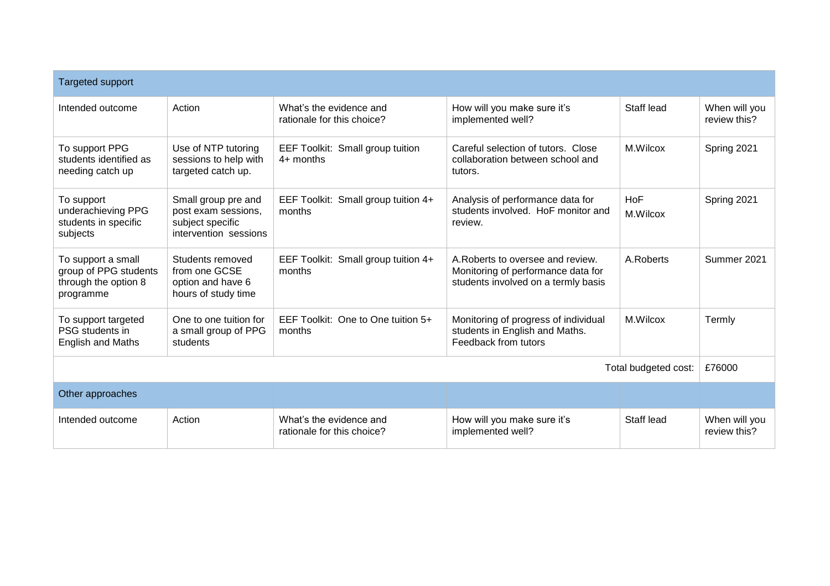| <b>Targeted support</b>                                                          |                                                                                         |                                                       |                                                                                                               |                 |                               |  |
|----------------------------------------------------------------------------------|-----------------------------------------------------------------------------------------|-------------------------------------------------------|---------------------------------------------------------------------------------------------------------------|-----------------|-------------------------------|--|
| Intended outcome                                                                 | Action                                                                                  | What's the evidence and<br>rationale for this choice? | How will you make sure it's<br>implemented well?                                                              | Staff lead      | When will you<br>review this? |  |
| To support PPG<br>students identified as<br>needing catch up                     | Use of NTP tutoring<br>sessions to help with<br>targeted catch up.                      | EEF Toolkit: Small group tuition<br>$4+$ months       | Careful selection of tutors. Close<br>collaboration between school and<br>tutors.                             | M.Wilcox        | Spring 2021                   |  |
| To support<br>underachieving PPG<br>students in specific<br>subjects             | Small group pre and<br>post exam sessions,<br>subject specific<br>intervention sessions | EEF Toolkit: Small group tuition 4+<br>months         | Analysis of performance data for<br>students involved. HoF monitor and<br>review.                             | HoF<br>M.Wilcox | Spring 2021                   |  |
| To support a small<br>group of PPG students<br>through the option 8<br>programme | Students removed<br>from one GCSE<br>option and have 6<br>hours of study time           | EEF Toolkit: Small group tuition 4+<br>months         | A Roberts to oversee and review.<br>Monitoring of performance data for<br>students involved on a termly basis | A.Roberts       | Summer 2021                   |  |
| To support targeted<br>PSG students in<br><b>English and Maths</b>               | One to one tuition for<br>a small group of PPG<br>students                              | EEF Toolkit: One to One tuition 5+<br>months          | Monitoring of progress of individual<br>students in English and Maths.<br>Feedback from tutors                | M.Wilcox        | Termly                        |  |
| Total budgeted cost:                                                             |                                                                                         |                                                       |                                                                                                               |                 |                               |  |
| Other approaches                                                                 |                                                                                         |                                                       |                                                                                                               |                 |                               |  |
| Intended outcome                                                                 | Action                                                                                  | What's the evidence and<br>rationale for this choice? | How will you make sure it's<br>implemented well?                                                              | Staff lead      | When will you<br>review this? |  |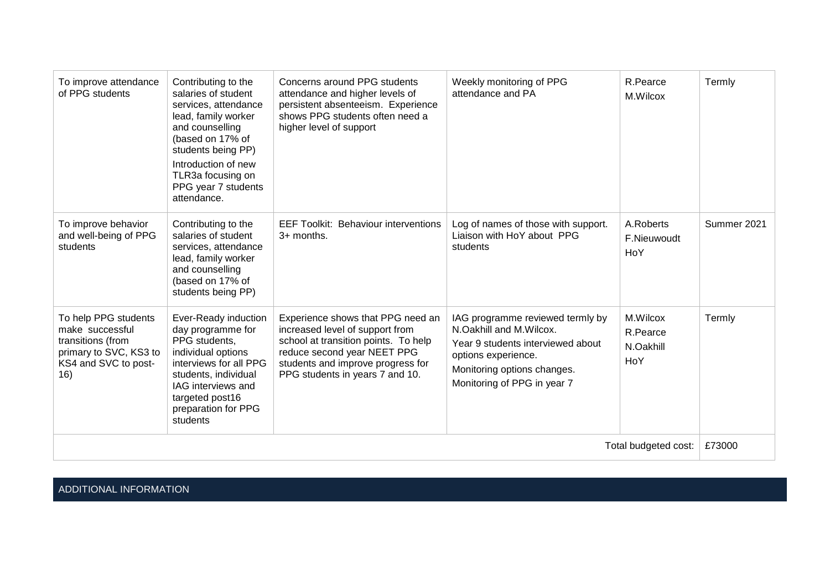| To improve attendance<br>of PPG students                                                                              | Contributing to the<br>salaries of student<br>services, attendance<br>lead, family worker<br>and counselling<br>(based on 17% of<br>students being PP)<br>Introduction of new<br>TLR3a focusing on<br>PPG year 7 students<br>attendance. | Concerns around PPG students<br>attendance and higher levels of<br>persistent absenteeism. Experience<br>shows PPG students often need a<br>higher level of support                                                 | Weekly monitoring of PPG<br>attendance and PA                                                                                                                                         | R.Pearce<br>M.Wilcox                     | Termly      |
|-----------------------------------------------------------------------------------------------------------------------|------------------------------------------------------------------------------------------------------------------------------------------------------------------------------------------------------------------------------------------|---------------------------------------------------------------------------------------------------------------------------------------------------------------------------------------------------------------------|---------------------------------------------------------------------------------------------------------------------------------------------------------------------------------------|------------------------------------------|-------------|
| To improve behavior<br>and well-being of PPG<br>students                                                              | Contributing to the<br>salaries of student<br>services, attendance<br>lead, family worker<br>and counselling<br>(based on 17% of<br>students being PP)                                                                                   | <b>EEF Toolkit: Behaviour interventions</b><br>3+ months.                                                                                                                                                           | Log of names of those with support.<br>Liaison with HoY about PPG<br>students                                                                                                         | A.Roberts<br>F.Nieuwoudt<br>HoY          | Summer 2021 |
| To help PPG students<br>make successful<br>transitions (from<br>primary to SVC, KS3 to<br>KS4 and SVC to post-<br>16) | Ever-Ready induction<br>day programme for<br>PPG students,<br>individual options<br>interviews for all PPG<br>students, individual<br>IAG interviews and<br>targeted post16<br>preparation for PPG<br>students                           | Experience shows that PPG need an<br>increased level of support from<br>school at transition points. To help<br>reduce second year NEET PPG<br>students and improve progress for<br>PPG students in years 7 and 10. | IAG programme reviewed termly by<br>N.Oakhill and M.Wilcox.<br>Year 9 students interviewed about<br>options experience.<br>Monitoring options changes.<br>Monitoring of PPG in year 7 | M.Wilcox<br>R.Pearce<br>N.Oakhill<br>HoY | Termly      |
|                                                                                                                       |                                                                                                                                                                                                                                          |                                                                                                                                                                                                                     |                                                                                                                                                                                       | Total budgeted cost:                     | £73000      |

ADDITIONAL INFORMATION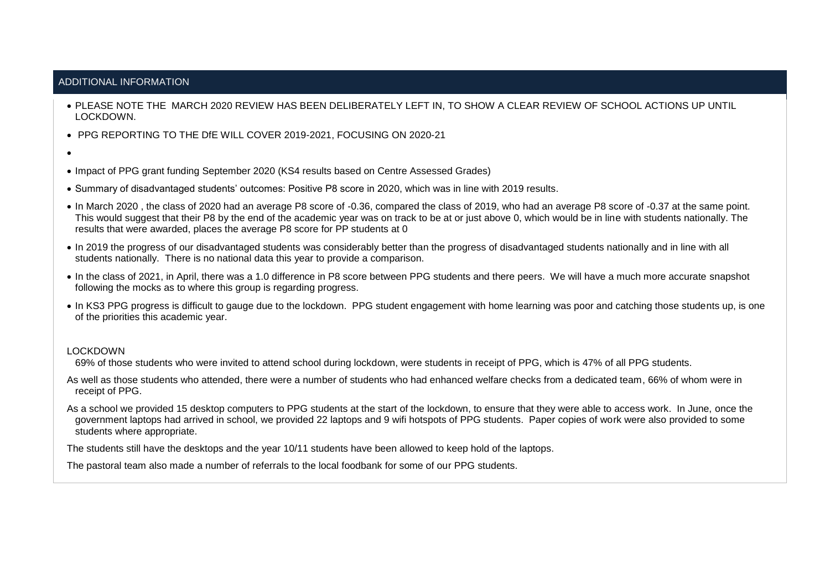#### ADDITIONAL INFORMATION

- PLEASE NOTE THE MARCH 2020 REVIEW HAS BEEN DELIBERATELY LEFT IN, TO SHOW A CLEAR REVIEW OF SCHOOL ACTIONS UP UNTIL LOCKDOWN.
- PPG REPORTING TO THE DfE WILL COVER 2019-2021, FOCUSING ON 2020-21
- •
- Impact of PPG grant funding September 2020 (KS4 results based on Centre Assessed Grades)
- Summary of disadvantaged students' outcomes: Positive P8 score in 2020, which was in line with 2019 results.
- In March 2020 , the class of 2020 had an average P8 score of -0.36, compared the class of 2019, who had an average P8 score of -0.37 at the same point. This would suggest that their P8 by the end of the academic year was on track to be at or just above 0, which would be in line with students nationally. The results that were awarded, places the average P8 score for PP students at 0
- In 2019 the progress of our disadvantaged students was considerably better than the progress of disadvantaged students nationally and in line with all students nationally. There is no national data this year to provide a comparison.
- In the class of 2021, in April, there was a 1.0 difference in P8 score between PPG students and there peers. We will have a much more accurate snapshot following the mocks as to where this group is regarding progress.
- In KS3 PPG progress is difficult to gauge due to the lockdown. PPG student engagement with home learning was poor and catching those students up, is one of the priorities this academic year.

#### LOCKDOWN

69% of those students who were invited to attend school during lockdown, were students in receipt of PPG, which is 47% of all PPG students.

As well as those students who attended, there were a number of students who had enhanced welfare checks from a dedicated team, 66% of whom were in receipt of PPG.

As a school we provided 15 desktop computers to PPG students at the start of the lockdown, to ensure that they were able to access work. In June, once the government laptops had arrived in school, we provided 22 laptops and 9 wifi hotspots of PPG students. Paper copies of work were also provided to some students where appropriate.

The students still have the desktops and the year 10/11 students have been allowed to keep hold of the laptops.

The pastoral team also made a number of referrals to the local foodbank for some of our PPG students.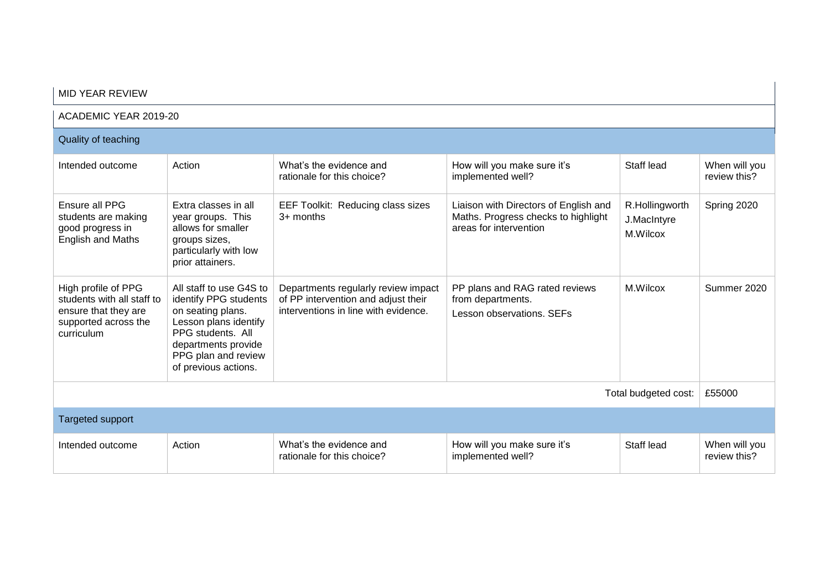| <b>MID YEAR REVIEW</b>                                                                                          |                                                                                                                                                                                           |                                                                                                                    |                                                                                                        |                                           |                               |  |  |
|-----------------------------------------------------------------------------------------------------------------|-------------------------------------------------------------------------------------------------------------------------------------------------------------------------------------------|--------------------------------------------------------------------------------------------------------------------|--------------------------------------------------------------------------------------------------------|-------------------------------------------|-------------------------------|--|--|
|                                                                                                                 | ACADEMIC YEAR 2019-20                                                                                                                                                                     |                                                                                                                    |                                                                                                        |                                           |                               |  |  |
| Quality of teaching                                                                                             |                                                                                                                                                                                           |                                                                                                                    |                                                                                                        |                                           |                               |  |  |
| Intended outcome                                                                                                | Action                                                                                                                                                                                    | What's the evidence and<br>rationale for this choice?                                                              | How will you make sure it's<br>implemented well?                                                       | Staff lead                                | When will you<br>review this? |  |  |
| Ensure all PPG<br>students are making<br>good progress in<br><b>English and Maths</b>                           | Extra classes in all<br>year groups. This<br>allows for smaller<br>groups sizes,<br>particularly with low<br>prior attainers.                                                             | EEF Toolkit: Reducing class sizes<br>$3+$ months                                                                   | Liaison with Directors of English and<br>Maths. Progress checks to highlight<br>areas for intervention | R.Hollingworth<br>J.MacIntyre<br>M.Wilcox | Spring 2020                   |  |  |
| High profile of PPG<br>students with all staff to<br>ensure that they are<br>supported across the<br>curriculum | All staff to use G4S to<br>identify PPG students<br>on seating plans.<br>Lesson plans identify<br>PPG students. All<br>departments provide<br>PPG plan and review<br>of previous actions. | Departments regularly review impact<br>of PP intervention and adjust their<br>interventions in line with evidence. | PP plans and RAG rated reviews<br>from departments.<br>Lesson observations, SEFs                       | M.Wilcox                                  | Summer 2020                   |  |  |
| Total budgeted cost:                                                                                            |                                                                                                                                                                                           |                                                                                                                    |                                                                                                        |                                           | £55000                        |  |  |
| <b>Targeted support</b>                                                                                         |                                                                                                                                                                                           |                                                                                                                    |                                                                                                        |                                           |                               |  |  |
| Intended outcome                                                                                                | Action                                                                                                                                                                                    | What's the evidence and<br>rationale for this choice?                                                              | How will you make sure it's<br>implemented well?                                                       | Staff lead                                | When will you<br>review this? |  |  |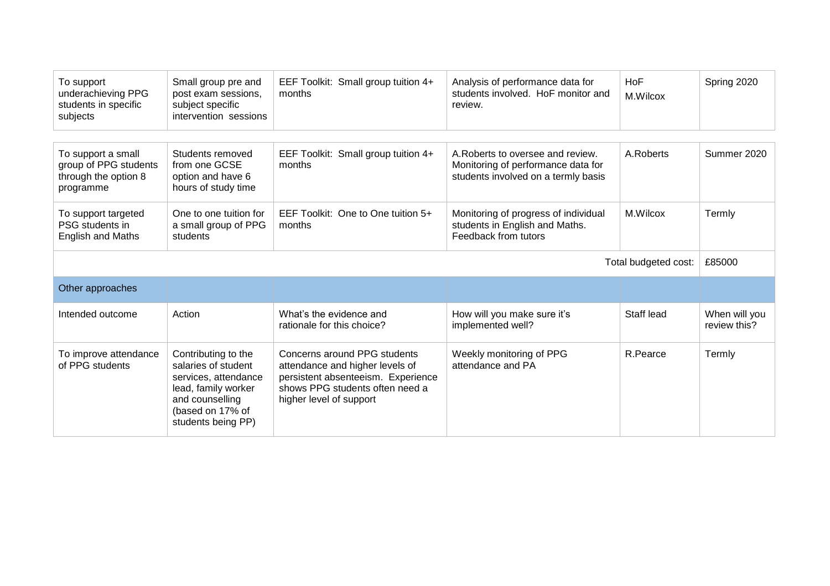| To support<br>underachieving PPG<br>students in specific<br>subjects             | Small group pre and<br>post exam sessions,<br>subject specific<br>intervention sessions | EEF Toolkit: Small group tuition 4+<br>months         | Analysis of performance data for<br>students involved. HoF monitor and<br>review.                              | <b>HoF</b><br>M.Wilcox | Spring 2020                   |
|----------------------------------------------------------------------------------|-----------------------------------------------------------------------------------------|-------------------------------------------------------|----------------------------------------------------------------------------------------------------------------|------------------------|-------------------------------|
|                                                                                  |                                                                                         |                                                       |                                                                                                                |                        |                               |
| To support a small<br>group of PPG students<br>through the option 8<br>programme | Students removed<br>from one GCSE<br>option and have 6<br>hours of study time           | EEF Toolkit: Small group tuition 4+<br>months         | A. Roberts to oversee and review.<br>Monitoring of performance data for<br>students involved on a termly basis | A.Roberts              | Summer 2020                   |
| To support targeted<br>PSG students in<br><b>English and Maths</b>               | One to one tuition for<br>a small group of PPG<br>students                              | EEF Toolkit: One to One tuition 5+<br>months          | Monitoring of progress of individual<br>students in English and Maths.<br>Feedback from tutors                 | M.Wilcox               | Termly                        |
| Total budgeted cost:                                                             |                                                                                         |                                                       |                                                                                                                |                        | £85000                        |
|                                                                                  |                                                                                         |                                                       |                                                                                                                |                        |                               |
| Other approaches                                                                 |                                                                                         |                                                       |                                                                                                                |                        |                               |
| Intended outcome                                                                 | Action                                                                                  | What's the evidence and<br>rationale for this choice? | How will you make sure it's<br>implemented well?                                                               | Staff lead             | When will you<br>review this? |